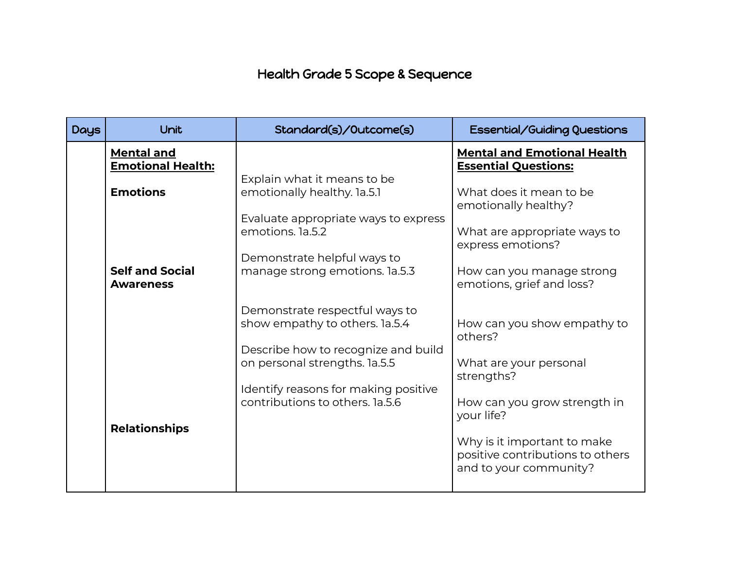## Health Grade 5 Scope & Sequence

| <b>Days</b> | Unit                                          | Standard(s)/Outcome(s)                                                  | <b>Essential/Guiding Questions</b>                                                        |
|-------------|-----------------------------------------------|-------------------------------------------------------------------------|-------------------------------------------------------------------------------------------|
|             | <b>Mental and</b><br><b>Emotional Health:</b> |                                                                         | <b>Mental and Emotional Health</b><br><b>Essential Questions:</b>                         |
|             | <b>Emotions</b>                               | Explain what it means to be<br>emotionally healthy. 1a.5.1              | What does it mean to be<br>emotionally healthy?                                           |
|             |                                               | Evaluate appropriate ways to express<br>emotions. la.5.2                | What are appropriate ways to<br>express emotions?                                         |
|             | <b>Self and Social</b><br><b>Awareness</b>    | Demonstrate helpful ways to<br>manage strong emotions. la.5.3           | How can you manage strong<br>emotions, grief and loss?                                    |
|             |                                               | Demonstrate respectful ways to<br>show empathy to others. la.5.4        | How can you show empathy to<br>others?                                                    |
|             |                                               | Describe how to recognize and build<br>on personal strengths. la.5.5    | What are your personal<br>strengths?                                                      |
|             |                                               | Identify reasons for making positive<br>contributions to others. 1a.5.6 | How can you grow strength in<br>your life?                                                |
|             | <b>Relationships</b>                          |                                                                         | Why is it important to make<br>positive contributions to others<br>and to your community? |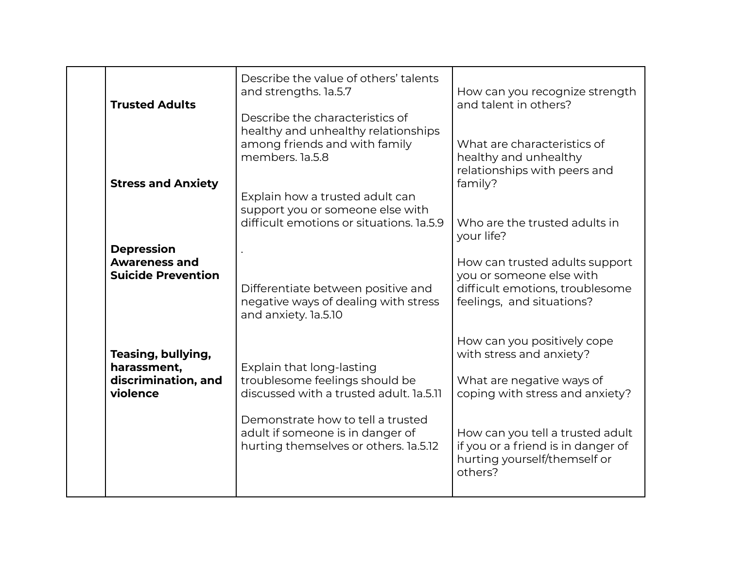| <b>Trusted Adults</b>                                                  | Describe the value of others' talents<br>and strengths. la.5.7<br>Describe the characteristics of<br>healthy and unhealthy relationships | How can you recognize strength<br>and talent in others?                                                                    |
|------------------------------------------------------------------------|------------------------------------------------------------------------------------------------------------------------------------------|----------------------------------------------------------------------------------------------------------------------------|
| <b>Stress and Anxiety</b>                                              | among friends and with family<br>members. 1a.5.8                                                                                         | What are characteristics of<br>healthy and unhealthy<br>relationships with peers and<br>family?                            |
|                                                                        | Explain how a trusted adult can<br>support you or someone else with<br>difficult emotions or situations. 1a.5.9                          | Who are the trusted adults in<br>your life?                                                                                |
| <b>Depression</b><br><b>Awareness and</b><br><b>Suicide Prevention</b> | Differentiate between positive and<br>negative ways of dealing with stress<br>and anxiety. la.5.10                                       | How can trusted adults support<br>you or someone else with<br>difficult emotions, troublesome<br>feelings, and situations? |
| Teasing, bullying,<br>harassment,<br>discrimination, and<br>violence   | Explain that long-lasting<br>troublesome feelings should be<br>discussed with a trusted adult. 1a.5.11                                   | How can you positively cope<br>with stress and anxiety?<br>What are negative ways of<br>coping with stress and anxiety?    |
|                                                                        | Demonstrate how to tell a trusted<br>adult if someone is in danger of<br>hurting themselves or others. 1a.5.12                           | How can you tell a trusted adult<br>if you or a friend is in danger of<br>hurting yourself/themself or<br>others?          |
|                                                                        |                                                                                                                                          |                                                                                                                            |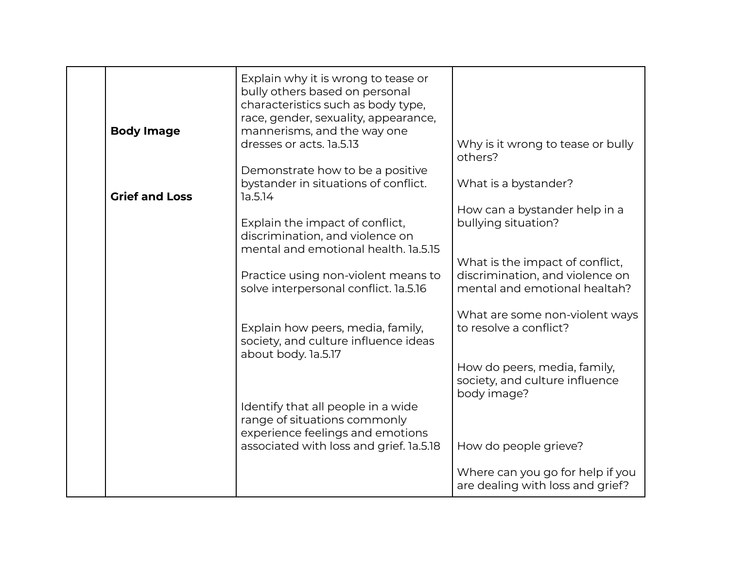| <b>Body Image</b>     | Explain why it is wrong to tease or<br>bully others based on personal<br>characteristics such as body type,<br>race, gender, sexuality, appearance,<br>mannerisms, and the way one |                                                                                                     |
|-----------------------|------------------------------------------------------------------------------------------------------------------------------------------------------------------------------------|-----------------------------------------------------------------------------------------------------|
|                       | dresses or acts. la.5.13                                                                                                                                                           | Why is it wrong to tease or bully<br>others?                                                        |
| <b>Grief and Loss</b> | Demonstrate how to be a positive<br>bystander in situations of conflict.<br>1a.5.14                                                                                                | What is a bystander?                                                                                |
|                       | Explain the impact of conflict,<br>discrimination, and violence on<br>mental and emotional health, 1a.5.15                                                                         | How can a bystander help in a<br>bullying situation?                                                |
|                       | Practice using non-violent means to<br>solve interpersonal conflict. la.5.16                                                                                                       | What is the impact of conflict,<br>discrimination, and violence on<br>mental and emotional healtah? |
|                       | Explain how peers, media, family,<br>society, and culture influence ideas<br>about body. la.5.17                                                                                   | What are some non-violent ways<br>to resolve a conflict?                                            |
|                       |                                                                                                                                                                                    | How do peers, media, family,<br>society, and culture influence<br>body image?                       |
|                       | Identify that all people in a wide<br>range of situations commonly<br>experience feelings and emotions                                                                             |                                                                                                     |
|                       | associated with loss and grief. 1a.5.18                                                                                                                                            | How do people grieve?                                                                               |
|                       |                                                                                                                                                                                    | Where can you go for help if you<br>are dealing with loss and grief?                                |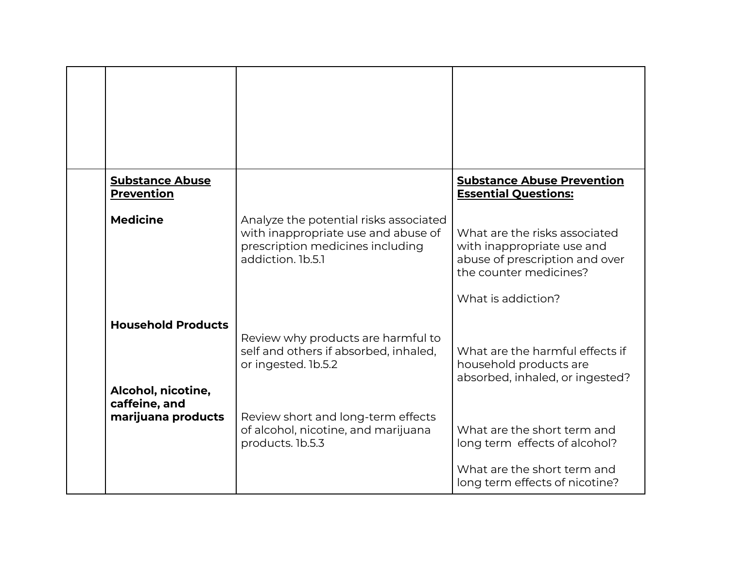| <b>Substance Abuse</b><br><b>Prevention</b>                      |                                                                                                                                        | <b>Substance Abuse Prevention</b><br><b>Essential Questions:</b>                                                                              |
|------------------------------------------------------------------|----------------------------------------------------------------------------------------------------------------------------------------|-----------------------------------------------------------------------------------------------------------------------------------------------|
| <b>Medicine</b>                                                  | Analyze the potential risks associated<br>with inappropriate use and abuse of<br>prescription medicines including<br>addiction, 1b.5.1 | What are the risks associated<br>with inappropriate use and<br>abuse of prescription and over<br>the counter medicines?<br>What is addiction? |
| <b>Household Products</b><br>Alcohol, nicotine,<br>caffeine, and | Review why products are harmful to<br>self and others if absorbed, inhaled,<br>or ingested. 1b.5.2                                     | What are the harmful effects if<br>household products are<br>absorbed, inhaled, or ingested?                                                  |
| marijuana products                                               | Review short and long-term effects<br>of alcohol, nicotine, and marijuana<br>products. 1b.5.3                                          | What are the short term and<br>long term effects of alcohol?                                                                                  |
|                                                                  |                                                                                                                                        | What are the short term and<br>long term effects of nicotine?                                                                                 |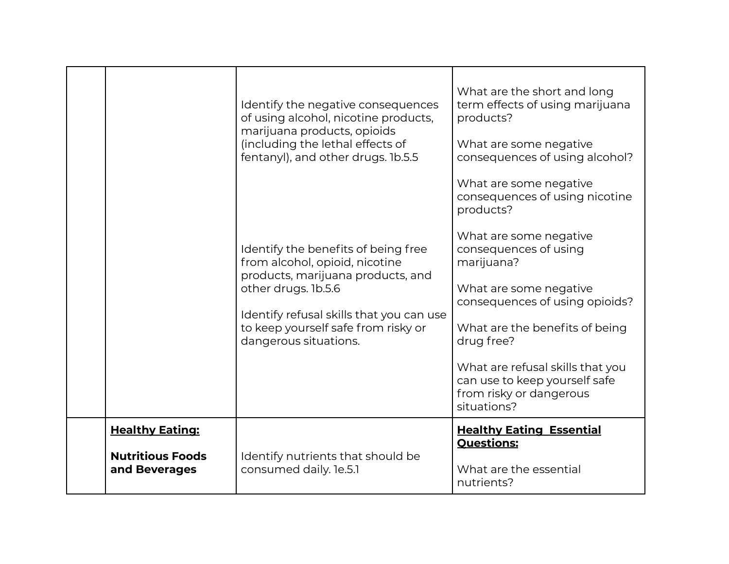|                                          | Identify the negative consequences<br>of using alcohol, nicotine products,<br>marijuana products, opioids<br>(including the lethal effects of<br>fentanyl), and other drugs. 1b.5.5<br>Identify the benefits of being free<br>from alcohol, opioid, nicotine<br>products, marijuana products, and<br>other drugs. 1b.5.6<br>Identify refusal skills that you can use<br>to keep yourself safe from risky or<br>dangerous situations. | What are the short and long<br>term effects of using marijuana<br>products?<br>What are some negative<br>consequences of using alcohol?<br>What are some negative<br>consequences of using nicotine<br>products?<br>What are some negative<br>consequences of using<br>marijuana?<br>What are some negative<br>consequences of using opioids?<br>What are the benefits of being<br>drug free?<br>What are refusal skills that you<br>can use to keep yourself safe<br>from risky or dangerous<br>situations? |
|------------------------------------------|--------------------------------------------------------------------------------------------------------------------------------------------------------------------------------------------------------------------------------------------------------------------------------------------------------------------------------------------------------------------------------------------------------------------------------------|--------------------------------------------------------------------------------------------------------------------------------------------------------------------------------------------------------------------------------------------------------------------------------------------------------------------------------------------------------------------------------------------------------------------------------------------------------------------------------------------------------------|
| <b>Healthy Eating:</b>                   |                                                                                                                                                                                                                                                                                                                                                                                                                                      | <b>Healthy Eating Essential</b>                                                                                                                                                                                                                                                                                                                                                                                                                                                                              |
| <b>Nutritious Foods</b><br>and Beverages | Identify nutrients that should be<br>consumed daily. le.5.1                                                                                                                                                                                                                                                                                                                                                                          | <b>Questions:</b><br>What are the essential<br>nutrients?                                                                                                                                                                                                                                                                                                                                                                                                                                                    |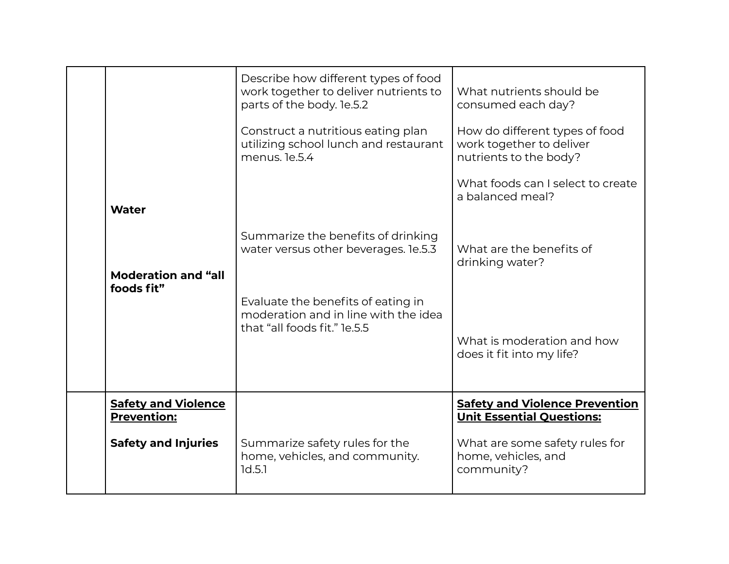|                                                  | Describe how different types of food<br>work together to deliver nutrients to<br>parts of the body. le.5.2 | What nutrients should be<br>consumed each day?                                       |
|--------------------------------------------------|------------------------------------------------------------------------------------------------------------|--------------------------------------------------------------------------------------|
|                                                  | Construct a nutritious eating plan<br>utilizing school lunch and restaurant<br>menus. le.5.4               | How do different types of food<br>work together to deliver<br>nutrients to the body? |
| <b>Water</b>                                     |                                                                                                            | What foods can I select to create<br>a balanced meal?                                |
| <b>Moderation and "all</b><br>foods fit"         | Summarize the benefits of drinking<br>water versus other beverages. le.5.3                                 | What are the benefits of<br>drinking water?                                          |
|                                                  | Evaluate the benefits of eating in<br>moderation and in line with the idea<br>that "all foods fit." le.5.5 | What is moderation and how<br>does it fit into my life?                              |
| <b>Safety and Violence</b><br><b>Prevention:</b> |                                                                                                            | <b>Safety and Violence Prevention</b><br><b>Unit Essential Questions:</b>            |
| <b>Safety and Injuries</b>                       | Summarize safety rules for the<br>home, vehicles, and community.<br>1d.5.1                                 | What are some safety rules for<br>home, vehicles, and<br>community?                  |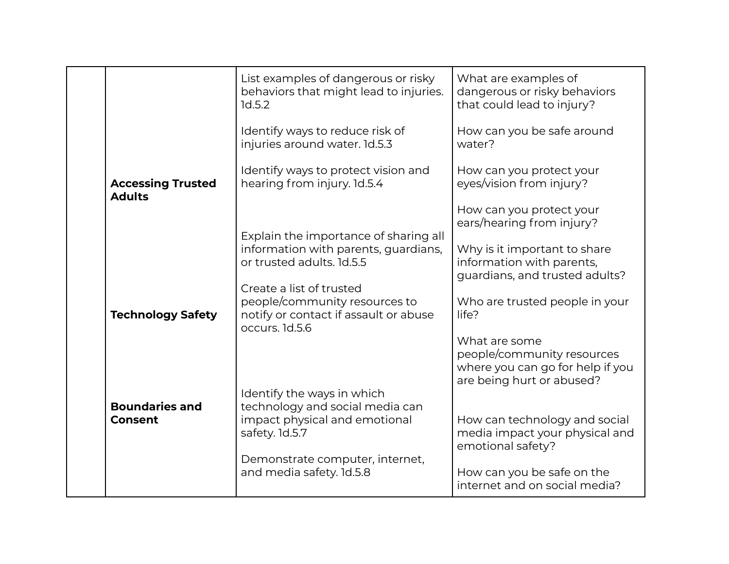|                                           | List examples of dangerous or risky<br>behaviors that might lead to injuries.<br>1d.5.2                              | What are examples of<br>dangerous or risky behaviors<br>that could lead to injury?                           |
|-------------------------------------------|----------------------------------------------------------------------------------------------------------------------|--------------------------------------------------------------------------------------------------------------|
|                                           | Identify ways to reduce risk of<br>injuries around water. 1d.5.3                                                     | How can you be safe around<br>water?                                                                         |
| <b>Accessing Trusted</b><br><b>Adults</b> | Identify ways to protect vision and<br>hearing from injury. 1d.5.4                                                   | How can you protect your<br>eyes/vision from injury?                                                         |
|                                           |                                                                                                                      | How can you protect your<br>ears/hearing from injury?                                                        |
|                                           | Explain the importance of sharing all<br>information with parents, guardians,<br>or trusted adults, 1d.5.5           | Why is it important to share<br>information with parents,<br>guardians, and trusted adults?                  |
| <b>Technology Safety</b>                  | Create a list of trusted<br>people/community resources to<br>notify or contact if assault or abuse<br>occurs. 1d.5.6 | Who are trusted people in your<br>life?                                                                      |
|                                           |                                                                                                                      | What are some<br>people/community resources<br>where you can go for help if you<br>are being hurt or abused? |
| <b>Boundaries and</b>                     | Identify the ways in which<br>technology and social media can                                                        |                                                                                                              |
| <b>Consent</b>                            | impact physical and emotional<br>safety. 1d.5.7                                                                      | How can technology and social<br>media impact your physical and<br>emotional safety?                         |
|                                           | Demonstrate computer, internet,<br>and media safety. 1d.5.8                                                          | How can you be safe on the<br>internet and on social media?                                                  |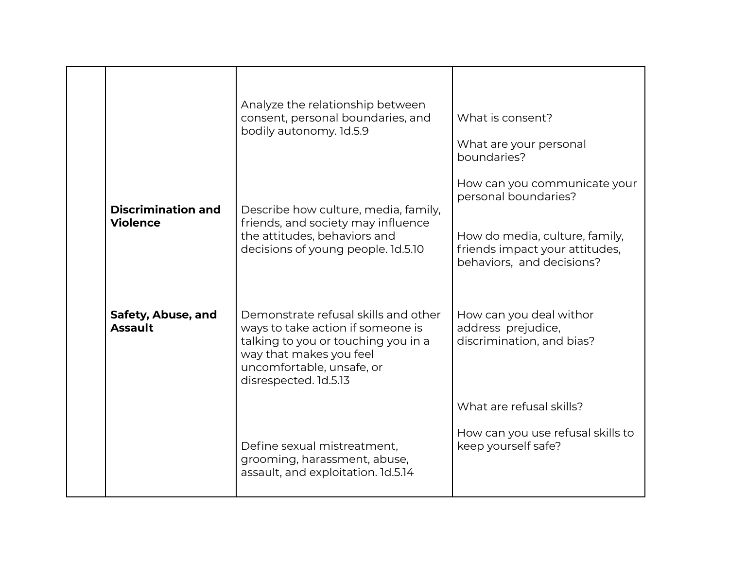|                                      | Analyze the relationship between<br>consent, personal boundaries, and<br>bodily autonomy. 1d.5.9                                                                                                  | What is consent?<br>What are your personal<br>boundaries?                                     |
|--------------------------------------|---------------------------------------------------------------------------------------------------------------------------------------------------------------------------------------------------|-----------------------------------------------------------------------------------------------|
| <b>Discrimination and</b>            | Describe how culture, media, family,                                                                                                                                                              | How can you communicate your<br>personal boundaries?                                          |
| <b>Violence</b>                      | friends, and society may influence<br>the attitudes, behaviors and<br>decisions of young people. 1d.5.10                                                                                          | How do media, culture, family,<br>friends impact your attitudes,<br>behaviors, and decisions? |
| Safety, Abuse, and<br><b>Assault</b> | Demonstrate refusal skills and other<br>ways to take action if someone is<br>talking to you or touching you in a<br>way that makes you feel<br>uncomfortable, unsafe, or<br>disrespected. 1d.5.13 | How can you deal withor<br>address prejudice,<br>discrimination, and bias?                    |
|                                      |                                                                                                                                                                                                   | What are refusal skills?                                                                      |
|                                      | Define sexual mistreatment,<br>grooming, harassment, abuse,<br>assault, and exploitation. 1d.5.14                                                                                                 | How can you use refusal skills to<br>keep yourself safe?                                      |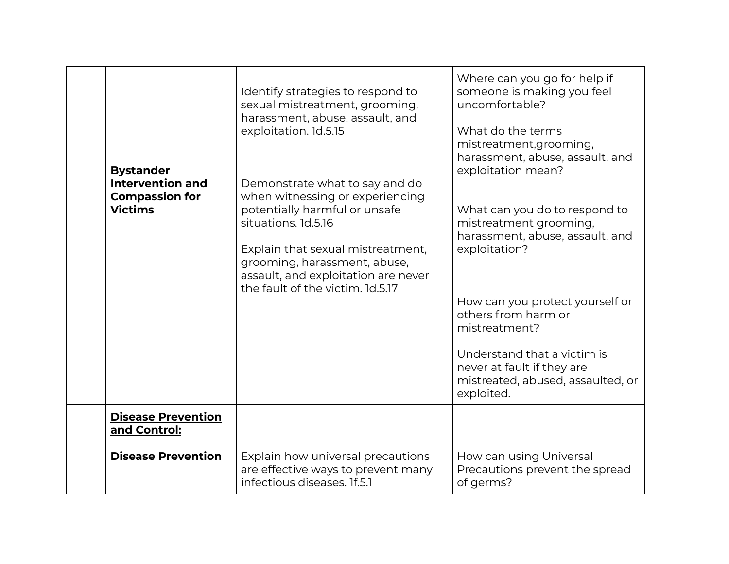| <b>Bystander</b>                                                   | Identify strategies to respond to<br>sexual mistreatment, grooming,<br>harassment, abuse, assault, and<br>exploitation. 1d.5.15                                                                                                       | Where can you go for help if<br>someone is making you feel<br>uncomfortable?<br>What do the terms<br>mistreatment, grooming,<br>harassment, abuse, assault, and<br>exploitation mean? |
|--------------------------------------------------------------------|---------------------------------------------------------------------------------------------------------------------------------------------------------------------------------------------------------------------------------------|---------------------------------------------------------------------------------------------------------------------------------------------------------------------------------------|
| <b>Intervention and</b><br><b>Compassion for</b><br><b>Victims</b> | Demonstrate what to say and do<br>when witnessing or experiencing<br>potentially harmful or unsafe<br>situations. 1d.5.16<br>Explain that sexual mistreatment,<br>grooming, harassment, abuse,<br>assault, and exploitation are never | What can you do to respond to<br>mistreatment grooming,<br>harassment, abuse, assault, and<br>exploitation?                                                                           |
|                                                                    | the fault of the victim. 1d.5.17                                                                                                                                                                                                      | How can you protect yourself or<br>others from harm or<br>mistreatment?                                                                                                               |
|                                                                    |                                                                                                                                                                                                                                       | Understand that a victim is<br>never at fault if they are<br>mistreated, abused, assaulted, or<br>exploited.                                                                          |
| <b>Disease Prevention</b><br>and Control:                          |                                                                                                                                                                                                                                       |                                                                                                                                                                                       |
| <b>Disease Prevention</b>                                          | Explain how universal precautions<br>are effective ways to prevent many<br>infectious diseases. If.5.1                                                                                                                                | How can using Universal<br>Precautions prevent the spread<br>of germs?                                                                                                                |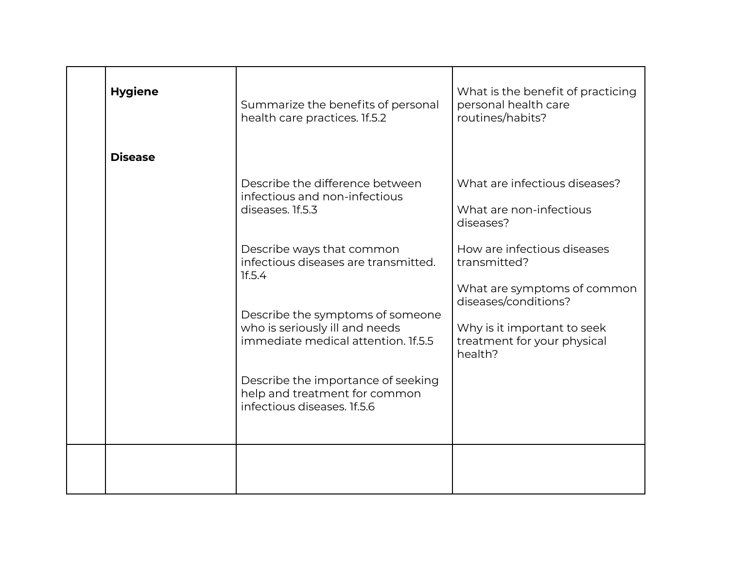| <b>Hygiene</b> | Summarize the benefits of personal<br>health care practices. If.5.2                                       | What is the benefit of practicing<br>personal health care<br>routines/habits? |
|----------------|-----------------------------------------------------------------------------------------------------------|-------------------------------------------------------------------------------|
| <b>Disease</b> |                                                                                                           |                                                                               |
|                | Describe the difference between<br>infectious and non-infectious<br>diseases. If.5.3                      | What are infectious diseases?<br>What are non-infectious<br>diseases?         |
|                | Describe ways that common<br>infectious diseases are transmitted.<br>1f.5.4                               | How are infectious diseases<br>transmitted?                                   |
|                |                                                                                                           | What are symptoms of common<br>diseases/conditions?                           |
|                | Describe the symptoms of someone<br>who is seriously ill and needs<br>immediate medical attention. If.5.5 | Why is it important to seek<br>treatment for your physical<br>health?         |
|                | Describe the importance of seeking<br>help and treatment for common<br>infectious diseases. 1f.5.6        |                                                                               |
|                |                                                                                                           |                                                                               |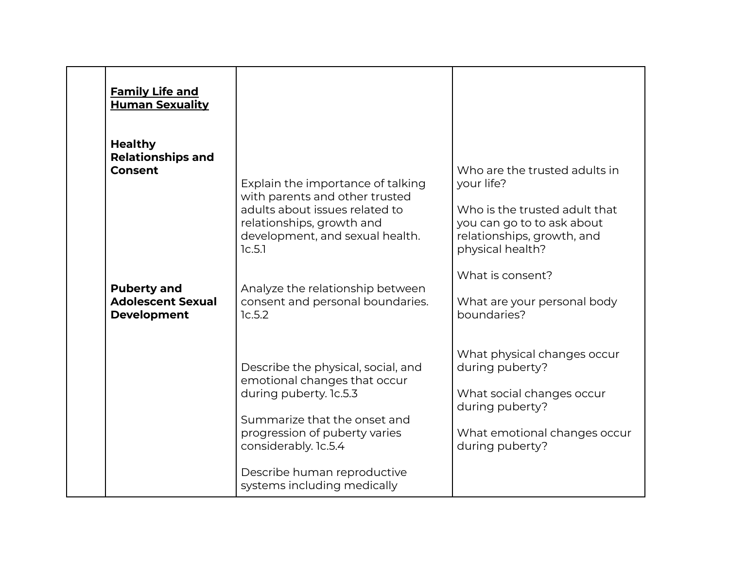| <b>Family Life and</b><br><b>Human Sexuality</b>                                                                                     |                                                                                                                                                                                                                                                                   |                                                                                                                                                                                                                                |
|--------------------------------------------------------------------------------------------------------------------------------------|-------------------------------------------------------------------------------------------------------------------------------------------------------------------------------------------------------------------------------------------------------------------|--------------------------------------------------------------------------------------------------------------------------------------------------------------------------------------------------------------------------------|
| <b>Healthy</b><br><b>Relationships and</b><br><b>Consent</b><br><b>Puberty and</b><br><b>Adolescent Sexual</b><br><b>Development</b> | Explain the importance of talking<br>with parents and other trusted<br>adults about issues related to<br>relationships, growth and<br>development, and sexual health.<br>1c.5.1<br>Analyze the relationship between<br>consent and personal boundaries.<br>1c.5.2 | Who are the trusted adults in<br>your life?<br>Who is the trusted adult that<br>you can go to to ask about<br>relationships, growth, and<br>physical health?<br>What is consent?<br>What are your personal body<br>boundaries? |
|                                                                                                                                      | Describe the physical, social, and<br>emotional changes that occur<br>during puberty. 1c.5.3<br>Summarize that the onset and<br>progression of puberty varies<br>considerably. 1c.5.4<br>Describe human reproductive<br>systems including medically               | What physical changes occur<br>during puberty?<br>What social changes occur<br>during puberty?<br>What emotional changes occur<br>during puberty?                                                                              |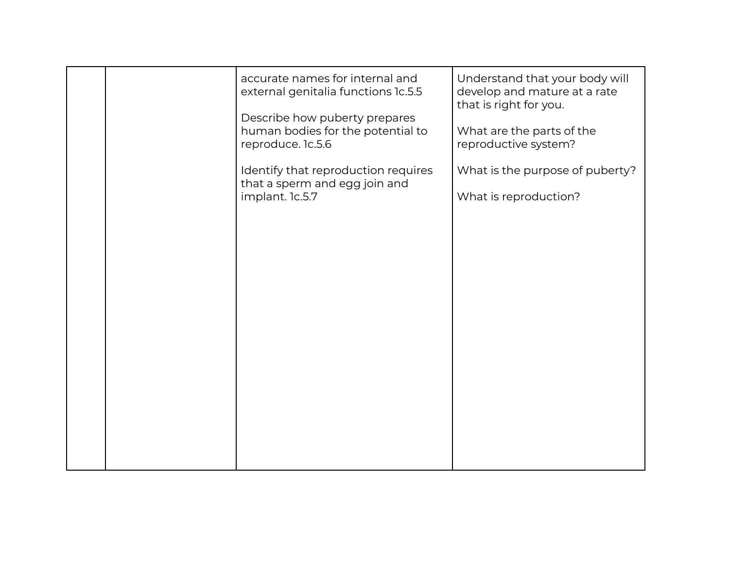|  | accurate names for internal and<br>external genitalia functions 1c.5.5<br>Describe how puberty prepares<br>human bodies for the potential to<br>reproduce. 1c.5.6 | Understand that your body will<br>develop and mature at a rate<br>that is right for you.<br>What are the parts of the<br>reproductive system? |
|--|-------------------------------------------------------------------------------------------------------------------------------------------------------------------|-----------------------------------------------------------------------------------------------------------------------------------------------|
|  | Identify that reproduction requires<br>that a sperm and egg join and<br>implant. 1c.5.7                                                                           | What is the purpose of puberty?<br>What is reproduction?                                                                                      |
|  |                                                                                                                                                                   |                                                                                                                                               |
|  |                                                                                                                                                                   |                                                                                                                                               |
|  |                                                                                                                                                                   |                                                                                                                                               |
|  |                                                                                                                                                                   |                                                                                                                                               |
|  |                                                                                                                                                                   |                                                                                                                                               |